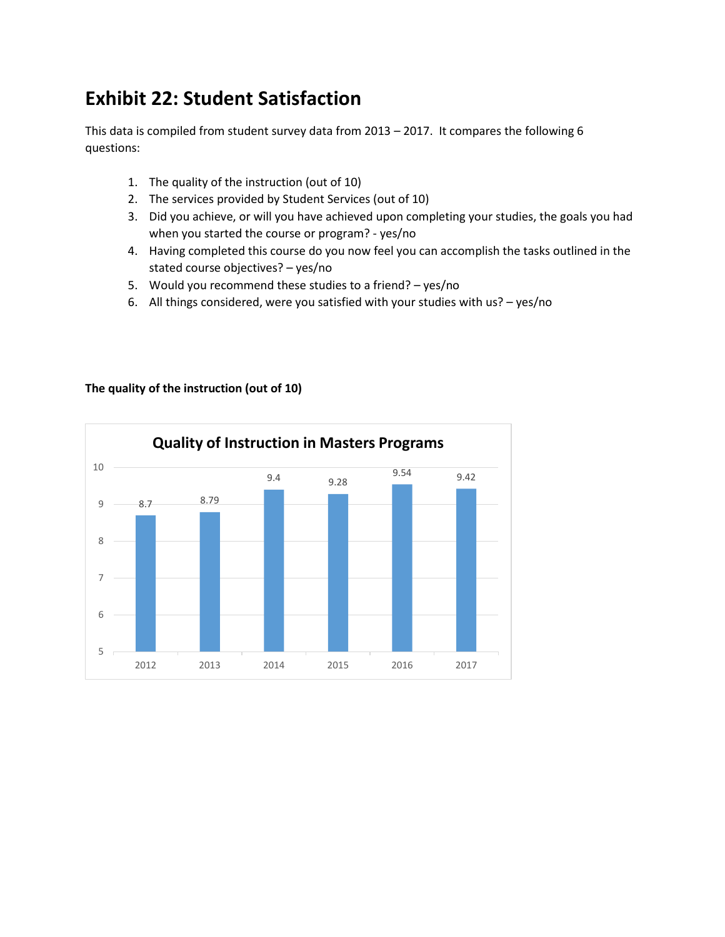## **Exhibit 22: Student Satisfaction**

This data is compiled from student survey data from 2013 – 2017. It compares the following 6 questions:

- 1. The quality of the instruction (out of 10)
- 2. The services provided by Student Services (out of 10)
- 3. Did you achieve, or will you have achieved upon completing your studies, the goals you had when you started the course or program? - yes/no
- 4. Having completed this course do you now feel you can accomplish the tasks outlined in the stated course objectives? – yes/no
- 5. Would you recommend these studies to a friend? yes/no
- 6. All things considered, were you satisfied with your studies with us? yes/no



## **The quality of the instruction (out of 10)**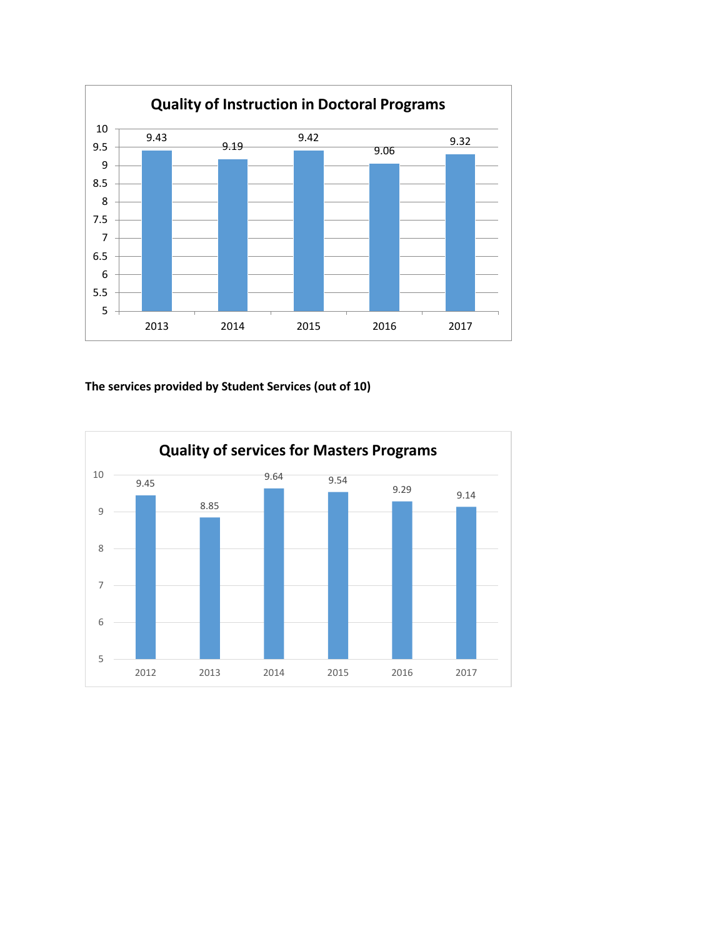

## **The services provided by Student Services (out of 10)**

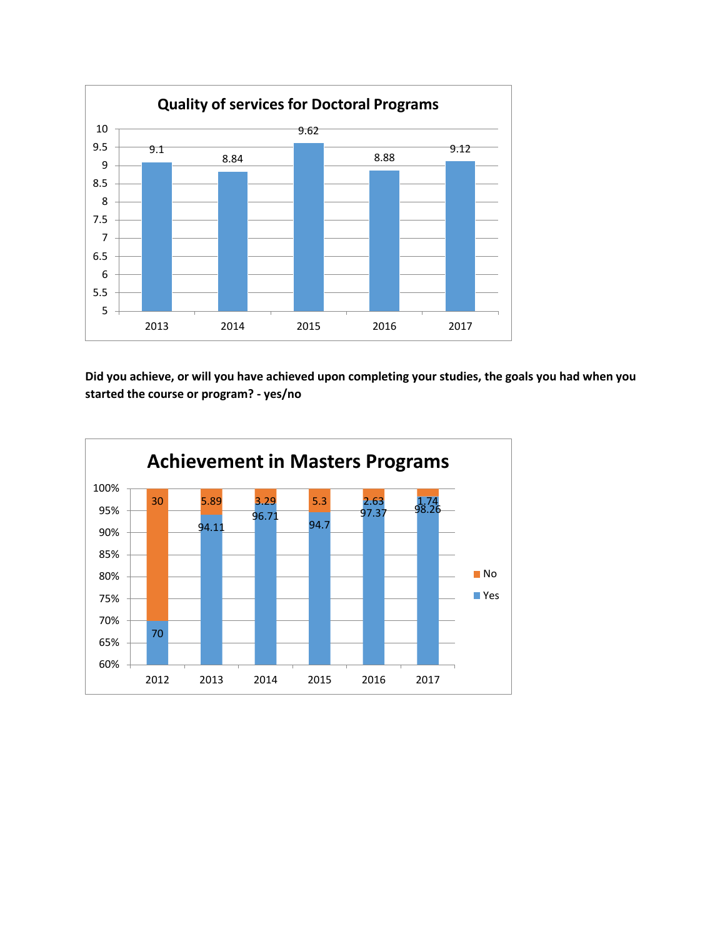

**Did you achieve, or will you have achieved upon completing your studies, the goals you had when you started the course or program? - yes/no**

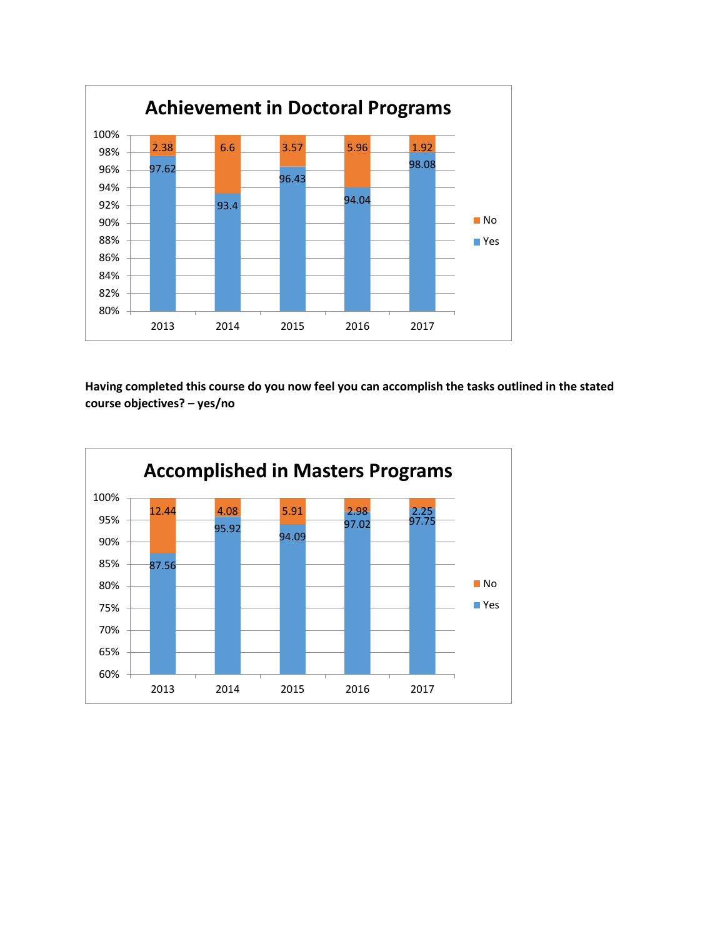

**Having completed this course do you now feel you can accomplish the tasks outlined in the stated course objectives? – yes/no**

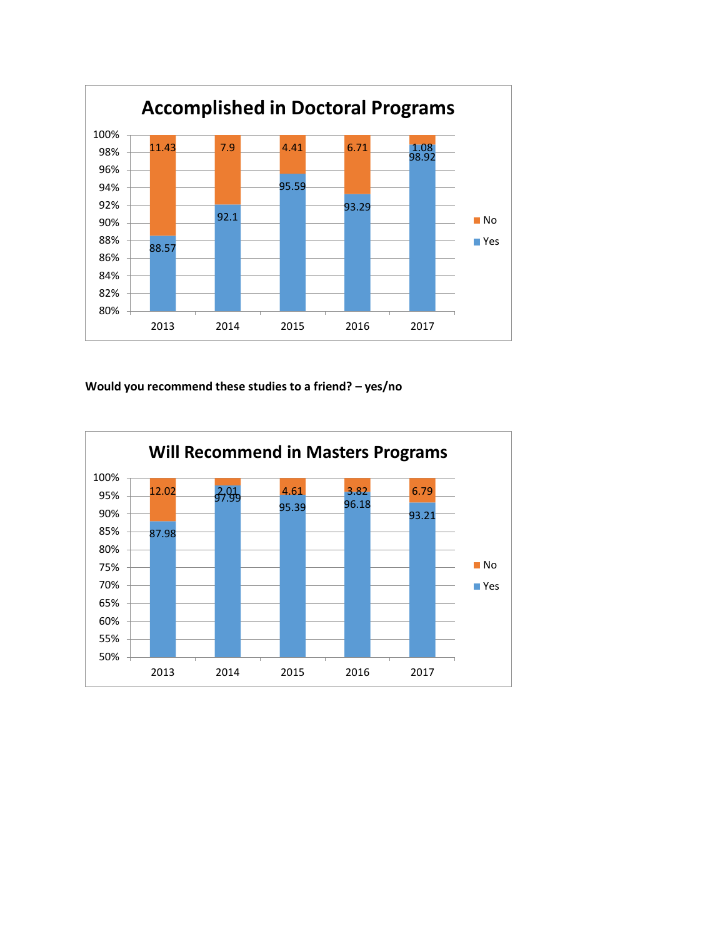

## **Would you recommend these studies to a friend? – yes/no**

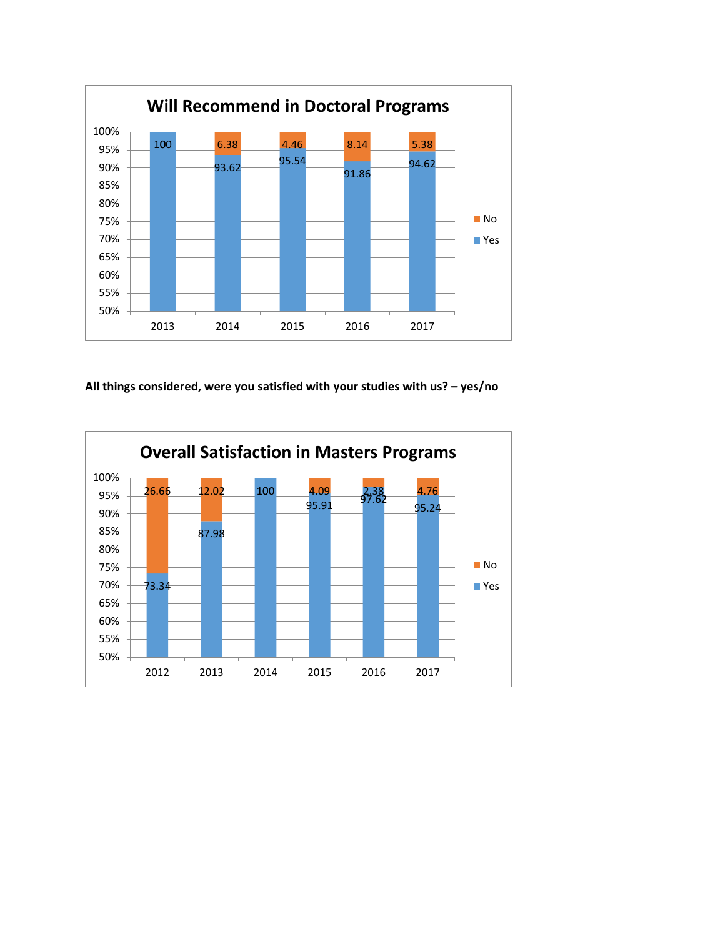

**All things considered, were you satisfied with your studies with us? – yes/no**